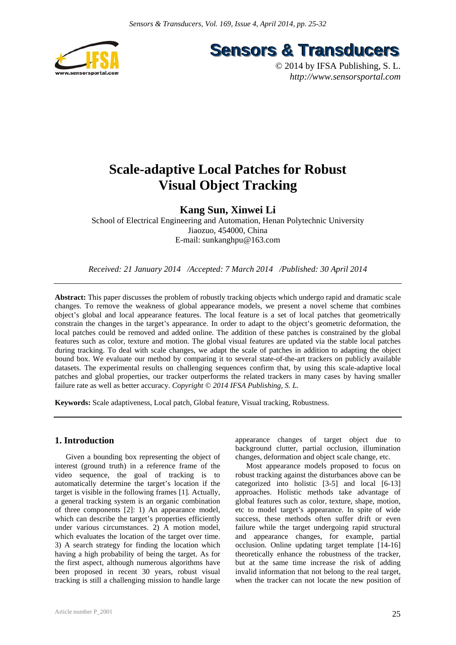

**Sensors & Transducers** 

© 2014 by IFSA Publishing, S. L. *http://www.sensorsportal.com*

# **Scale-adaptive Local Patches for Robust Visual Object Tracking**

## **Kang Sun, Xinwei Li**

School of Electrical Engineering and Automation, Henan Polytechnic University Jiaozuo, 454000, China E-mail: sunkanghpu@163.com

*Received: 21 January 2014 /Accepted: 7 March 2014 /Published: 30 April 2014* 

**Abstract:** This paper discusses the problem of robustly tracking objects which undergo rapid and dramatic scale changes. To remove the weakness of global appearance models, we present a novel scheme that combines object's global and local appearance features. The local feature is a set of local patches that geometrically constrain the changes in the target's appearance. In order to adapt to the object's geometric deformation, the local patches could be removed and added online. The addition of these patches is constrained by the global features such as color, texture and motion. The global visual features are updated via the stable local patches during tracking. To deal with scale changes, we adapt the scale of patches in addition to adapting the object bound box. We evaluate our method by comparing it to several state-of-the-art trackers on publicly available datasets. The experimental results on challenging sequences confirm that, by using this scale-adaptive local patches and global properties, our tracker outperforms the related trackers in many cases by having smaller failure rate as well as better accuracy. *Copyright © 2014 IFSA Publishing, S. L.*

**Keywords:** Scale adaptiveness, Local patch, Global feature, Visual tracking, Robustness.

## **1. Introduction**

Given a bounding box representing the object of interest (ground truth) in a reference frame of the video sequence, the goal of tracking is to automatically determine the target's location if the target is visible in the following frames [1]. Actually, a general tracking system is an organic combination of three components [2]: 1) An appearance model, which can describe the target's properties efficiently under various circumstances. 2) A motion model, which evaluates the location of the target over time. 3) A search strategy for finding the location which having a high probability of being the target. As for the first aspect, although numerous algorithms have been proposed in recent 30 years, robust visual tracking is still a challenging mission to handle large

appearance changes of target object due to background clutter, partial occlusion, illumination changes, deformation and object scale change, etc.

Most appearance models proposed to focus on robust tracking against the disturbances above can be categorized into holistic [3-5] and local [6-13] approaches. Holistic methods take advantage of global features such as color, texture, shape, motion, etc to model target's appearance. In spite of wide success, these methods often suffer drift or even failure while the target undergoing rapid structural and appearance changes, for example, partial occlusion. Online updating target template [14-16] theoretically enhance the robustness of the tracker, but at the same time increase the risk of adding invalid information that not belong to the real target, when the tracker can not locate the new position of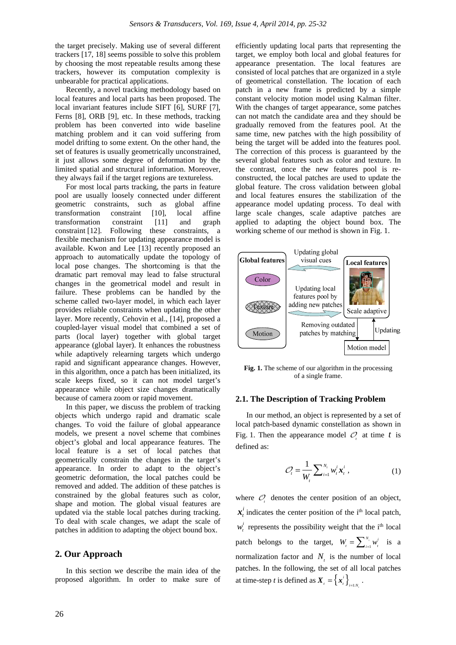the target precisely. Making use of several different trackers [17, 18] seems possible to solve this problem by choosing the most repeatable results among these trackers, however its computation complexity is unbearable for practical applications.

Recently, a novel tracking methodology based on local features and local parts has been proposed. The local invariant features include SIFT [6], SURF [7], Ferns [8], ORB [9], etc. In these methods, tracking problem has been converted into wide baseline matching problem and it can void suffering from model drifting to some extent. On the other hand, the set of features is usually geometrically unconstrained, it just allows some degree of deformation by the limited spatial and structural information. Moreover, they always fail if the target regions are textureless.

For most local parts tracking, the parts in feature pool are usually loosely connected under different geometric constraints, such as global affine transformation constraint [10], local affine transformation constraint [11] and graph constraint [12]. Following these constraints, a flexible mechanism for updating appearance model is available. Kwon and Lee [13] recently proposed an approach to automatically update the topology of local pose changes. The shortcoming is that the dramatic part removal may lead to false structural changes in the geometrical model and result in failure. These problems can be handled by the scheme called two-layer model, in which each layer provides reliable constraints when updating the other layer. More recently, Cehovin et al., [14], proposed a coupled-layer visual model that combined a set of parts (local layer) together with global target appearance (global layer). It enhances the robustness while adaptively relearning targets which undergo rapid and significant appearance changes. However, in this algorithm, once a patch has been initialized, its scale keeps fixed, so it can not model target's appearance while object size changes dramatically because of camera zoom or rapid movement.

In this paper, we discuss the problem of tracking objects which undergo rapid and dramatic scale changes. To void the failure of global appearance models, we present a novel scheme that combines object's global and local appearance features. The local feature is a set of local patches that geometrically constrain the changes in the target's appearance. In order to adapt to the object's geometric deformation, the local patches could be removed and added. The addition of these patches is constrained by the global features such as color, shape and motion. The global visual features are updated via the stable local patches during tracking. To deal with scale changes, we adapt the scale of patches in addition to adapting the object bound box.

## **2. Our Approach**

In this section we describe the main idea of the proposed algorithm. In order to make sure of efficiently updating local parts that representing the target, we employ both local and global features for appearance presentation. The local features are consisted of local patches that are organized in a style of geometrical constellation. The location of each patch in a new frame is predicted by a simple constant velocity motion model using Kalman filter. With the changes of target appearance, some patches can not match the candidate area and they should be gradually removed from the features pool. At the same time, new patches with the high possibility of being the target will be added into the features pool. The correction of this process is guaranteed by the several global features such as color and texture. In the contrast, once the new features pool is reconstructed, the local patches are used to update the global feature. The cross validation between global and local features ensures the stabilization of the appearance model updating process. To deal with large scale changes, scale adaptive patches are applied to adapting the object bound box. The working scheme of our method is shown in Fig. 1.



Fig. 1. The scheme of our algorithm in the processing of a single frame.

### **2.1. The Description of Tracking Problem**

In our method, an object is represented by a set of local patch-based dynamic constellation as shown in Fig. 1. Then the appearance model  $\mathcal{O}_1$  at time t is defined as:

$$
\mathcal{O}_t = \frac{1}{W_t} \sum_{i=1}^{N_t} w_t^i \mathbf{x}_t^i , \qquad (1)
$$

where  *denotes the center position of an object,*  $x_i^i$  indicates the center position of the i<sup>th</sup> local patch,  $w_t^i$  represents the possibility weight that the i<sup>th</sup> local patch belongs to the target,  $W_i = \sum_{i=1}^{N_i} w_i^i$  is a normalization factor and  $N<sub>t</sub>$  is the number of local patches. In the following, the set of all local patches at time-step *t* is defined as  $X_i = \{x_i^i\}_{i=1:N}$  $X_{i} = \left\{ x_{i}^{i} \right\}_{i=1:N_{i}}$ .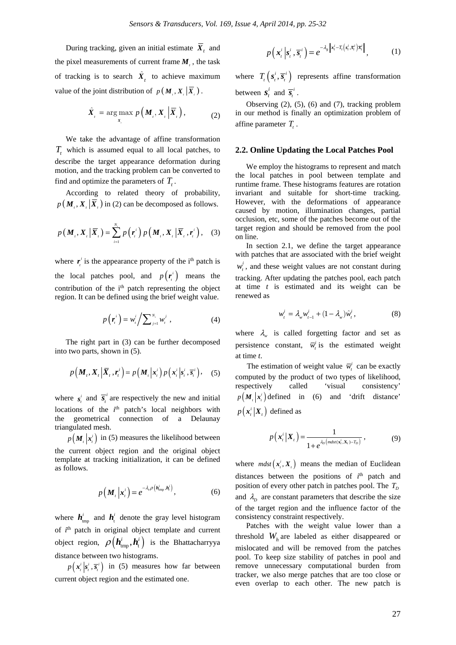During tracking, given an initial estimate  $\overline{X}_t$  and the pixel measurements of current frame  $M<sub>i</sub>$ , the task of tracking is to search  $\hat{X}$ , to achieve maximum value of the joint distribution of  $p(M_i, X_i | \overline{X}_i)$ .

$$
\hat{X}_{i} = \arg \max_{X_{i}} p\left(\boldsymbol{M}_{i}, \boldsymbol{X}_{i} \middle| \overline{X}_{i}\right), \tag{2}
$$

We take the advantage of affine transformation *T*, which is assumed equal to all local patches, to describe the target appearance deformation during motion, and the tracking problem can be converted to find and optimize the parameters of  $T_{\text{L}}$ .

According to related theory of probability,  $p(M_{i}, X_{i} | \overline{X}_{i})$  in (2) can be decomposed as follows.

$$
p(\boldsymbol{M}_{t}, \boldsymbol{X}_{t} | \overline{\boldsymbol{X}}_{t}) = \sum_{i=1}^{N_{t}} p(\boldsymbol{r}_{t}^{i}) p(\boldsymbol{M}_{t}, \boldsymbol{X}_{t} | \overline{\boldsymbol{X}}_{t}, \boldsymbol{r}_{t}^{i}), \quad (3)
$$

where  $\mathbf{r}_i^i$  is the appearance property of the i<sup>th</sup> patch is the local patches pool, and  $p(r_i^i)$  means the contribution of the i<sup>th</sup> patch representing the object region. It can be defined using the brief weight value.

$$
p\left(\boldsymbol{r}_{i}^{i}\right)=w_{i}^{i}\bigg/\sum\nolimits_{j=1}^{N_{i}}w_{i}^{j}\,,\tag{4}
$$

The right part in (3) can be further decomposed into two parts, shown in (5).

$$
p\left(\boldsymbol{M}_{t}, \boldsymbol{X}_{t} \left| \overline{\boldsymbol{X}}_{t}, \boldsymbol{r}_{t}^{i} \right.\right) = p\left(\boldsymbol{M}_{t} \left| \boldsymbol{x}_{t}^{i} \right.\right) p\left(\boldsymbol{x}_{t}^{i} \left| \boldsymbol{s}_{t}^{i}, \overline{\boldsymbol{s}}_{t}^{i} \right.\right), \quad (5)
$$

where  $s_i^i$  and  $\overline{s_i}^i$  are respectively the new and initial locations of the  $i<sup>th</sup>$  patch's local neighbors with the geometrical connection of a Delaunay triangulated mesh.

 $p(\mathbf{M}_i|\mathbf{x}_i^i)$  in (5) measures the likelihood between the current object region and the original object template at tracking initialization, it can be defined as follows.

$$
p\left(\boldsymbol{M}_{t}\left|\boldsymbol{x}_{t}^{i}\right.\right)=e^{-\lambda_{s}\rho\left(\boldsymbol{h}_{\text{tmp}}^{i},\boldsymbol{h}_{t}^{i}\right)},\tag{6}
$$

where  $h_{\text{imp}}^i$  and  $h_{\text{t}}^i$  denote the gray level histogram of  $i<sup>th</sup>$  patch in original object template and current object region,  $\rho ( h_{\text{rms}}^i, h_{\text{t}}^i )$  is the Bhattacharryya distance between two histograms.

 $p(x_i^i | s_i^i, \overline{s_i^i})$  in (5) measures how far between current object region and the estimated one.

$$
p\left(\mathbf{x}_{t}^{i}\left|\mathbf{s}_{t}^{i},\overline{\mathbf{s}}_{t}^{i}\right.\right)=e^{-\lambda_{g}\left\|\mathbf{x}_{t}^{i}-T_{t}\left(\mathbf{s}_{t}^{i},\overline{\mathbf{s}}_{t}^{i}\right)\overline{\mathbf{x}}_{t}^{i}\right\|},\tag{1}
$$

where  $T_t\left(s_t^i, \overline{s}_t^i\right)$  represents affine transformation between  $s_i^i$  and  $\overline{s_i^i}$ .

Observing (2), (5), (6) and (7), tracking problem in our method is finally an optimization problem of affine parameter  $T_{\textit{i}}$ .

#### **2.2. Online Updating the Local Patches Pool**

We employ the histograms to represent and match the local patches in pool between template and runtime frame. These histograms features are rotation invariant and suitable for short-time tracking. However, with the deformations of appearance caused by motion, illumination changes, partial occlusion, etc, some of the patches become out of the target region and should be removed from the pool on line.

In section 2.1, we define the target appearance with patches that are associated with the brief weight  $w_t^i$ , and these weight values are not constant during tracking. After updating the patches pool, each patch at time *t* is estimated and its weight can be renewed as

$$
w_t^i = \lambda_w w_{t-1}^i + (1 - \lambda_w) \hat{w}_t^i, \tag{8}
$$

where  $\lambda_{w}$  is called forgetting factor and set as persistence constant,  $\overline{w}_t^i$  is the estimated weight at time *t*.

The estimation of weight value  $\overline{w}_i^i$  can be exactly computed by the product of two types of likelihood, respectively called 'visual consistency'  $p(M_i | x_i^i)$  defined in (6) and 'drift distance'  $p(\mathbf{x}_t^i | \mathbf{X}_t)$  defined as

$$
p\left(\mathbf{x}_{t}^{i}\big|\mathbf{X}_{t}\right)=\frac{1}{1+e^{\lambda_{D}\left(mdst\left(\mathbf{x}_{t}^{i},\mathbf{X}_{t}\right)-T_{D}\right)}}\,,\tag{9}
$$

where  $mdst(\mathbf{x}_i^i, \mathbf{X}_i)$  means the median of Euclidean distances between the positions of  $i<sup>th</sup>$  patch and position of every other patch in patches pool. The  $T_p$ and  $\lambda$ <sup>*b*</sup> are constant parameters that describe the size of the target region and the influence factor of the consistency constraint respectively.

Patches with the weight value lower than a threshold  $W_h$  are labeled as either disappeared or mislocated and will be removed from the patches pool. To keep size stability of patches in pool and remove unnecessary computational burden from tracker, we also merge patches that are too close or even overlap to each other. The new patch is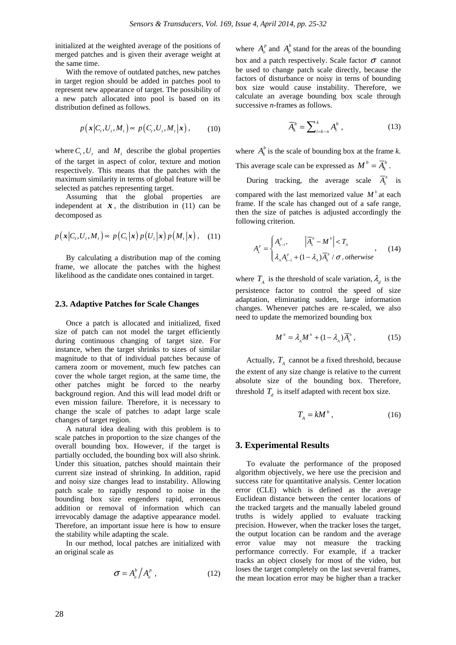initialized at the weighted average of the positions of merged patches and is given their average weight at the same time.

With the remove of outdated patches, new patches in target region should be added in patches pool to represent new appearance of target. The possibility of a new patch allocated into pool is based on its distribution defined as follows.

$$
p\big(\mathbf{x}\big|C_{i},U_{i},M_{i}\big)\approx p\big(C_{i},U_{i},M_{i}\big|\mathbf{x}\big),\qquad(10)
$$

where  $C_t$ ,  $U_t$  and  $M_t$  describe the global properties of the target in aspect of color, texture and motion respectively. This means that the patches with the maximum similarity in terms of global feature will be selected as patches representing target.

Assuming that the global properties are independent at  $x$ , the distribution in (11) can be decomposed as

$$
p(\mathbf{x}|C_t, U_t, M_t) \propto p(C_t|\mathbf{x}) p(U_t|\mathbf{x}) p(M_t|\mathbf{x}), \quad (11)
$$

By calculating a distribution map of the coming frame, we allocate the patches with the highest likelihood as the candidate ones contained in target.

#### **2.3. Adaptive Patches for Scale Changes**

Once a patch is allocated and initialized, fixed size of patch can not model the target efficiently during continuous changing of target size. For instance, when the target shrinks to sizes of similar magnitude to that of individual patches because of camera zoom or movement, much few patches can cover the whole target region, at the same time, the other patches might be forced to the nearby background region. And this will lead model drift or even mission failure. Therefore, it is necessary to change the scale of patches to adapt large scale changes of target region.

A natural idea dealing with this problem is to scale patches in proportion to the size changes of the overall bounding box. However, if the target is partially occluded, the bounding box will also shrink. Under this situation, patches should maintain their current size instead of shrinking. In addition, rapid and noisy size changes lead to instability. Allowing patch scale to rapidly respond to noise in the bounding box size engenders rapid, erroneous addition or removal of information which can irrevocably damage the adaptive appearance model. Therefore, an important issue here is how to ensure the stability while adapting the scale.

In our method, local patches are initialized with an original scale as

$$
\sigma = A_o^b / A_o^p \t\t(12)
$$

where  $A_{\alpha}^{p}$  and  $A_{\alpha}^{b}$  stand for the areas of the bounding box and a patch respectively. Scale factor  $\sigma$  cannot be used to change patch scale directly, because the factors of disturbance or noisy in terns of bounding box size would cause instability. Therefore, we calculate an average bounding box scale through successive *n*-frames as follows.

$$
\overline{A}_k^b = \sum_{i=k-n}^k A_i^b , \qquad (13)
$$

where  $A_k^b$  is the scale of bounding box at the frame *k*. This average scale can be expressed as  $M^b = \overline{A}_k^b$ .

During tracking, the average scale  $\overline{A}_k^b$  is

compared with the last memorized value  $M^b$  at each frame. If the scale has changed out of a safe range, then the size of patches is adjusted accordingly the following criterion.

$$
A_k^P = \begin{cases} A_{k-1}^P, & |\overline{A}_k^b - M^b| < T_A \\ \lambda_A A_{k-1}^P + (1 - \lambda_A) \overline{A}_k^b / \sigma, \text{ otherwise} \end{cases}, \tag{14}
$$

where  $T_A$  is the threshold of scale variation,  $\lambda_d$  is the persistence factor to control the speed of size adaptation, eliminating sudden, large information changes. Whenever patches are re-scaled, we also need to update the memorized bounding box

$$
M^b = \lambda_A M^b + (1 - \lambda_A) \overline{A}_k^b, \qquad (15)
$$

Actually,  $T_A$  cannot be a fixed threshold, because the extent of any size change is relative to the current absolute size of the bounding box. Therefore, threshold  $T_d$  is itself adapted with recent box size.

$$
T_A = kM^b \,, \tag{16}
$$

## **3. Experimental Results**

To evaluate the performance of the proposed algorithm objectively, we here use the precision and success rate for quantitative analysis. Center location error (CLE) which is defined as the average Euclidean distance between the center locations of the tracked targets and the manually labeled ground truths is widely applied to evaluate tracking precision. However, when the tracker loses the target, the output location can be random and the average error value may not measure the tracking performance correctly. For example, if a tracker tracks an object closely for most of the video, but loses the target completely on the last several frames, the mean location error may be higher than a tracker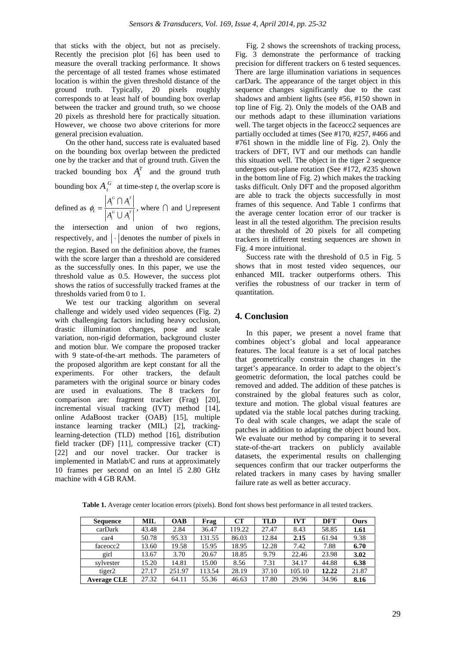that sticks with the object, but not as precisely. Recently the precision plot [6] has been used to measure the overall tracking performance. It shows the percentage of all tested frames whose estimated location is within the given threshold distance of the ground truth. Typically, 20 pixels roughly corresponds to at least half of bounding box overlap between the tracker and ground truth, so we choose 20 pixels as threshold here for practically situation. However, we choose two above criterions for more general precision evaluation.

On the other hand, success rate is evaluated based on the bounding box overlap between the predicted one by the tracker and that of ground truth. Given the tracked bounding box  $A_t^T$  and the ground truth bounding box  $A_t^G$  at time-step *t*, the overlap score is  $G \cap A^T$  $A_{\cdot}^{\scriptscriptstyle G} \bigcap A_{\cdot}$ 

defined as *t t*  $G \cup A^T$  $\tau$ <sup>t</sup> *t*  $A_{\cdot}^{\scriptscriptstyle G} \;{\cup}\; A$  $\phi_t = \frac{A_t^G \cap A_t}{\sum_{i=1}^{t} A_i}$ U , where  $\bigcap$  and  $\bigcup$  represent

the intersection and union of two regions, respectively, and  $\lvert \cdot \rvert$  denotes the number of pixels in the region. Based on the definition above, the frames with the score larger than a threshold are considered as the successfully ones. In this paper, we use the threshold value as 0.5. However, the success plot shows the ratios of successfully tracked frames at the thresholds varied from 0 to 1.

We test our tracking algorithm on several challenge and widely used video sequences (Fig. 2) with challenging factors including heavy occlusion, drastic illumination changes, pose and scale variation, non-rigid deformation, background cluster and motion blur. We compare the proposed tracker with 9 state-of-the-art methods. The parameters of the proposed algorithm are kept constant for all the experiments. For other trackers, the default parameters with the original source or binary codes are used in evaluations. The 8 trackers for comparison are: fragment tracker (Frag) [20], incremental visual tracking (IVT) method [14], online AdaBoost tracker (OAB) [15], multiple instance learning tracker (MIL) [2], trackinglearning-detection (TLD) method [16], distribution field tracker (DF) [11], compressive tracker (CT) [22] and our novel tracker. Our tracker is implemented in Matlab/C and runs at approximately 10 frames per second on an Intel i5 2.80 GHz machine with 4 GB RAM.

Fig. 2 shows the screenshots of tracking process, Fig. 3 demonstrate the performance of tracking precision for different trackers on 6 tested sequences. There are large illumination variations in sequences carDark. The appearance of the target object in this sequence changes significantly due to the cast shadows and ambient lights (see #56, #150 shown in top line of Fig. 2). Only the models of the OAB and our methods adapt to these illumination variations well. The target objects in the faceocc2 sequences are partially occluded at times (See #170, #257, #466 and #761 shown in the middle line of Fig. 2). Only the trackers of DFT, IVT and our methods can handle this situation well. The object in the tiger 2 sequence undergoes out-plane rotation (See #172, #235 shown in the bottom line of Fig. 2) which makes the tracking tasks difficult. Only DFT and the proposed algorithm are able to track the objects successfully in most frames of this sequence. And Table 1 confirms that the average center location error of our tracker is least in all the tested algorithm. The precision results at the threshold of 20 pixels for all competing trackers in different testing sequences are shown in Fig. 4 more intuitional.

Success rate with the threshold of 0.5 in Fig. 5 shows that in most tested video sequences, our enhanced MIL tracker outperforms others. This verifies the robustness of our tracker in term of quantitation.

## **4. Conclusion**

In this paper, we present a novel frame that combines object's global and local appearance features. The local feature is a set of local patches that geometrically constrain the changes in the target's appearance. In order to adapt to the object's geometric deformation, the local patches could be removed and added. The addition of these patches is constrained by the global features such as color, texture and motion. The global visual features are updated via the stable local patches during tracking. To deal with scale changes, we adapt the scale of patches in addition to adapting the object bound box. We evaluate our method by comparing it to several state-of-the-art trackers on publicly available datasets, the experimental results on challenging sequences confirm that our tracker outperforms the related trackers in many cases by having smaller failure rate as well as better accuracy.

**Table 1.** Average center location errors (pixels). Bond font shows best performance in all tested trackers.

| <b>Sequence</b>    | MIL   | <b>OAB</b> | Frag   | CТ     | <b>TLD</b> | <b>IVT</b> | <b>DFT</b> | Ours  |
|--------------------|-------|------------|--------|--------|------------|------------|------------|-------|
| carDark            | 43.48 | 2.84       | 36.47  | 119.22 | 27.47      | 8.43       | 58.85      | 1.61  |
| car <sub>4</sub>   | 50.78 | 95.33      | 131.55 | 86.03  | 12.84      | 2.15       | 61.94      | 9.38  |
| faceocc2           | 13.60 | 19.58      | 15.95  | 18.95  | 12.28      | 7.42       | 7.88       | 6.70  |
| girl               | 13.67 | 3.70       | 20.67  | 18.85  | 9.79       | 22.46      | 23.98      | 3.02  |
| sylvester          | 15.20 | 14.81      | 15.00  | 8.56   | 7.31       | 34.17      | 44.88      | 6.38  |
| tiger2             | 27.17 | 251.97     | 113.54 | 28.19  | 37.10      | 105.10     | 12.22      | 21.87 |
| <b>Average CLE</b> | 27.32 | 64.11      | 55.36  | 46.63  | 17.80      | 29.96      | 34.96      | 8.16  |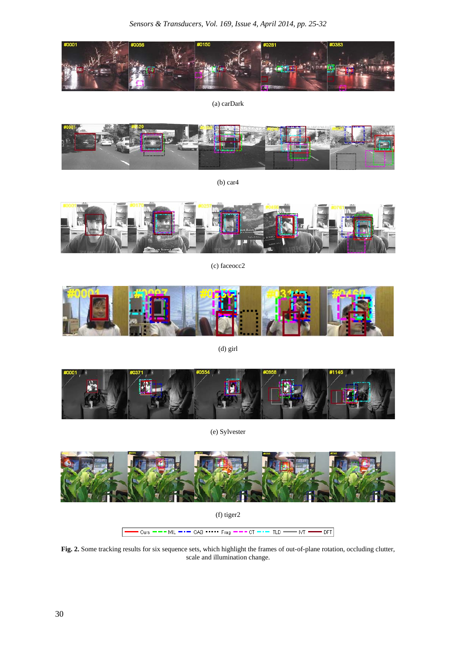

(a) carDark



(b) car4



(c) faceocc2



(d) girl



(e) Sylvester



(f) tiger2

Ours  $---$  MIL  $---$  OAB  $---$  Frag  $---$  CT  $-- -$  TLD  $\overline{\mathsf{NT}}$ DFT

**Fig. 2.** Some tracking results for six sequence sets, which highlight the frames of out-of-plane rotation, occluding clutter, scale and illumination change.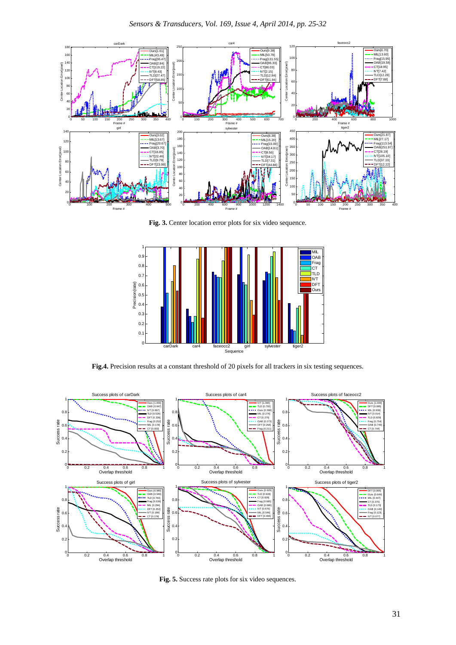

**Fig. 3.** Center location error plots for six video sequence.



**Fig.4.** Precision results at a constant threshold of 20 pixels for all trackers in six testing sequences.



**Fig. 5.** Success rate plots for six video sequences.